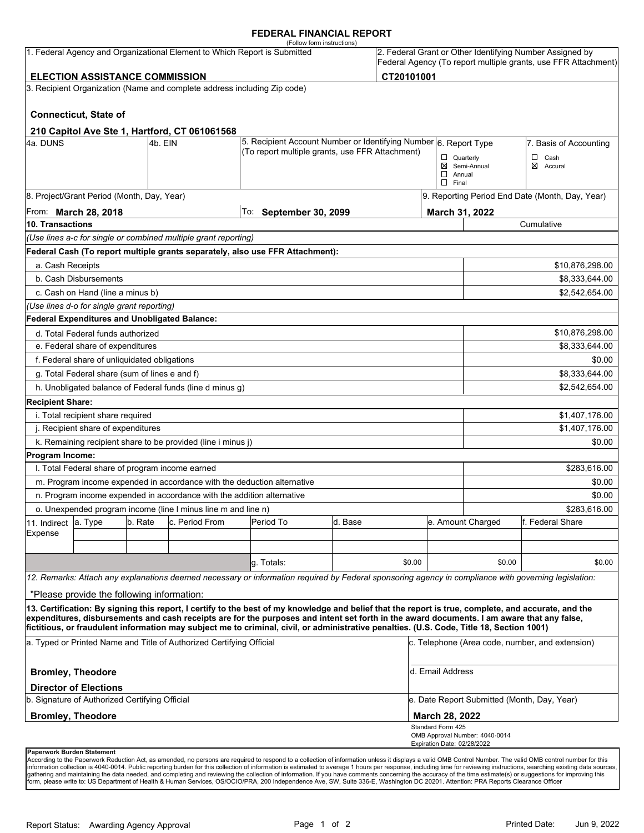# **FEDERAL FINANCIAL REPORT**

|                                                                                                                                                                                                                   |                                                      |         | 1. Federal Agency and Organizational Element to Which Report is Submitted                                           | (Follow form instructions)                                                                                                                                                                                                                                                                         |         |        |                                                                |                                                 | 2. Federal Grant or Other Identifying Number Assigned by |  |
|-------------------------------------------------------------------------------------------------------------------------------------------------------------------------------------------------------------------|------------------------------------------------------|---------|---------------------------------------------------------------------------------------------------------------------|----------------------------------------------------------------------------------------------------------------------------------------------------------------------------------------------------------------------------------------------------------------------------------------------------|---------|--------|----------------------------------------------------------------|-------------------------------------------------|----------------------------------------------------------|--|
|                                                                                                                                                                                                                   |                                                      |         |                                                                                                                     |                                                                                                                                                                                                                                                                                                    |         |        | Federal Agency (To report multiple grants, use FFR Attachment) |                                                 |                                                          |  |
| CT20101001<br><b>ELECTION ASSISTANCE COMMISSION</b>                                                                                                                                                               |                                                      |         |                                                                                                                     |                                                                                                                                                                                                                                                                                                    |         |        |                                                                |                                                 |                                                          |  |
|                                                                                                                                                                                                                   |                                                      |         | 3. Recipient Organization (Name and complete address including Zip code)                                            |                                                                                                                                                                                                                                                                                                    |         |        |                                                                |                                                 |                                                          |  |
|                                                                                                                                                                                                                   | <b>Connecticut, State of</b>                         |         |                                                                                                                     |                                                                                                                                                                                                                                                                                                    |         |        |                                                                |                                                 |                                                          |  |
|                                                                                                                                                                                                                   |                                                      |         | 210 Capitol Ave Ste 1, Hartford, CT 061061568                                                                       |                                                                                                                                                                                                                                                                                                    |         |        |                                                                |                                                 |                                                          |  |
| 4a. DUNS<br>l4b. EIN                                                                                                                                                                                              |                                                      |         | 5. Recipient Account Number or Identifying Number 6. Report Type<br>(To report multiple grants, use FFR Attachment) |                                                                                                                                                                                                                                                                                                    |         |        | 7. Basis of Accounting                                         |                                                 |                                                          |  |
|                                                                                                                                                                                                                   |                                                      |         |                                                                                                                     |                                                                                                                                                                                                                                                                                                    |         |        | $\Box$ Quarterly<br>$\Box$ Annual<br>$\Box$ Final              | ⊠ Semi-Annual                                   | $\Box$ Cash<br>⊠ Accural                                 |  |
|                                                                                                                                                                                                                   | 8. Project/Grant Period (Month, Day, Year)           |         |                                                                                                                     |                                                                                                                                                                                                                                                                                                    |         |        |                                                                | 9. Reporting Period End Date (Month, Day, Year) |                                                          |  |
| From: March 28, 2018                                                                                                                                                                                              |                                                      |         |                                                                                                                     | To:<br><b>September 30, 2099</b>                                                                                                                                                                                                                                                                   |         |        |                                                                | March 31, 2022                                  |                                                          |  |
| 10. Transactions                                                                                                                                                                                                  |                                                      |         |                                                                                                                     |                                                                                                                                                                                                                                                                                                    |         |        |                                                                | Cumulative                                      |                                                          |  |
|                                                                                                                                                                                                                   |                                                      |         | (Use lines a-c for single or combined multiple grant reporting)                                                     |                                                                                                                                                                                                                                                                                                    |         |        |                                                                |                                                 |                                                          |  |
|                                                                                                                                                                                                                   |                                                      |         |                                                                                                                     | Federal Cash (To report multiple grants separately, also use FFR Attachment):                                                                                                                                                                                                                      |         |        |                                                                |                                                 |                                                          |  |
| a. Cash Receipts                                                                                                                                                                                                  |                                                      |         |                                                                                                                     |                                                                                                                                                                                                                                                                                                    |         |        |                                                                |                                                 | \$10,876,298.00                                          |  |
|                                                                                                                                                                                                                   | b. Cash Disbursements                                |         |                                                                                                                     |                                                                                                                                                                                                                                                                                                    |         |        |                                                                |                                                 | \$8,333,644.00                                           |  |
|                                                                                                                                                                                                                   | c. Cash on Hand (line a minus b)                     |         |                                                                                                                     |                                                                                                                                                                                                                                                                                                    |         |        |                                                                |                                                 | \$2,542,654.00                                           |  |
|                                                                                                                                                                                                                   | (Use lines d-o for single grant reporting)           |         |                                                                                                                     |                                                                                                                                                                                                                                                                                                    |         |        |                                                                |                                                 |                                                          |  |
|                                                                                                                                                                                                                   | <b>Federal Expenditures and Unobligated Balance:</b> |         |                                                                                                                     |                                                                                                                                                                                                                                                                                                    |         |        |                                                                |                                                 |                                                          |  |
|                                                                                                                                                                                                                   | d. Total Federal funds authorized                    |         |                                                                                                                     |                                                                                                                                                                                                                                                                                                    |         |        |                                                                |                                                 | \$10,876,298.00                                          |  |
| e. Federal share of expenditures                                                                                                                                                                                  |                                                      |         |                                                                                                                     |                                                                                                                                                                                                                                                                                                    |         |        |                                                                | \$8,333,644.00                                  |                                                          |  |
|                                                                                                                                                                                                                   | f. Federal share of unliquidated obligations         |         |                                                                                                                     |                                                                                                                                                                                                                                                                                                    |         |        |                                                                |                                                 | \$0.00                                                   |  |
| g. Total Federal share (sum of lines e and f)                                                                                                                                                                     |                                                      |         |                                                                                                                     |                                                                                                                                                                                                                                                                                                    |         |        |                                                                |                                                 | \$8,333,644.00                                           |  |
|                                                                                                                                                                                                                   |                                                      |         | h. Unobligated balance of Federal funds (line d minus g)                                                            |                                                                                                                                                                                                                                                                                                    |         |        |                                                                |                                                 | \$2,542,654.00                                           |  |
| <b>Recipient Share:</b>                                                                                                                                                                                           |                                                      |         |                                                                                                                     |                                                                                                                                                                                                                                                                                                    |         |        |                                                                |                                                 |                                                          |  |
| i. Total recipient share required                                                                                                                                                                                 |                                                      |         |                                                                                                                     |                                                                                                                                                                                                                                                                                                    |         |        |                                                                |                                                 | \$1,407,176.00                                           |  |
| j. Recipient share of expenditures                                                                                                                                                                                |                                                      |         |                                                                                                                     |                                                                                                                                                                                                                                                                                                    |         |        |                                                                | \$1,407,176.00                                  |                                                          |  |
|                                                                                                                                                                                                                   |                                                      |         | k. Remaining recipient share to be provided (line i minus j)                                                        |                                                                                                                                                                                                                                                                                                    |         |        |                                                                |                                                 | \$0.00                                                   |  |
| Program Income:                                                                                                                                                                                                   |                                                      |         |                                                                                                                     |                                                                                                                                                                                                                                                                                                    |         |        |                                                                |                                                 |                                                          |  |
| I. Total Federal share of program income earned                                                                                                                                                                   |                                                      |         |                                                                                                                     |                                                                                                                                                                                                                                                                                                    |         |        |                                                                | \$283,616.00                                    |                                                          |  |
|                                                                                                                                                                                                                   |                                                      |         |                                                                                                                     | m. Program income expended in accordance with the deduction alternative                                                                                                                                                                                                                            |         |        |                                                                |                                                 | \$0.00                                                   |  |
| n. Program income expended in accordance with the addition alternative                                                                                                                                            |                                                      |         |                                                                                                                     |                                                                                                                                                                                                                                                                                                    |         |        |                                                                | \$0.00                                          |                                                          |  |
|                                                                                                                                                                                                                   |                                                      |         | o. Unexpended program income (line I minus line m and line n)                                                       |                                                                                                                                                                                                                                                                                                    |         |        |                                                                | \$283.616.00                                    |                                                          |  |
| 11. Indirect                                                                                                                                                                                                      | a. Type                                              | b. Rate | c. Period From                                                                                                      | Period To                                                                                                                                                                                                                                                                                          | d. Base |        |                                                                | e. Amount Charged                               | lf. Federal Share                                        |  |
| Expense                                                                                                                                                                                                           |                                                      |         |                                                                                                                     |                                                                                                                                                                                                                                                                                                    |         |        |                                                                |                                                 |                                                          |  |
|                                                                                                                                                                                                                   |                                                      |         |                                                                                                                     |                                                                                                                                                                                                                                                                                                    |         |        |                                                                |                                                 |                                                          |  |
|                                                                                                                                                                                                                   |                                                      |         |                                                                                                                     | g. Totals:                                                                                                                                                                                                                                                                                         |         | \$0.00 |                                                                | \$0.00                                          | \$0.00                                                   |  |
|                                                                                                                                                                                                                   |                                                      |         |                                                                                                                     | 12. Remarks: Attach any explanations deemed necessary or information required by Federal sponsoring agency in compliance with governing legislation:                                                                                                                                               |         |        |                                                                |                                                 |                                                          |  |
|                                                                                                                                                                                                                   | "Please provide the following information:           |         |                                                                                                                     |                                                                                                                                                                                                                                                                                                    |         |        |                                                                |                                                 |                                                          |  |
|                                                                                                                                                                                                                   |                                                      |         |                                                                                                                     | 13. Certification: By signing this report, I certify to the best of my knowledge and belief that the report is true, complete, and accurate, and the<br>expenditures, disbursements and cash receipts are for the purposes and intent set forth in the award documents. I am aware that any false, |         |        |                                                                |                                                 |                                                          |  |
| fictitious, or fraudulent information may subject me to criminal, civil, or administrative penalties. (U.S. Code, Title 18, Section 1001)<br>a. Typed or Printed Name and Title of Authorized Certifying Official |                                                      |         |                                                                                                                     |                                                                                                                                                                                                                                                                                                    |         |        | c. Telephone (Area code, number, and extension)                |                                                 |                                                          |  |
| <b>Bromley, Theodore</b>                                                                                                                                                                                          |                                                      |         |                                                                                                                     |                                                                                                                                                                                                                                                                                                    |         |        | d. Email Address                                               |                                                 |                                                          |  |
|                                                                                                                                                                                                                   | <b>Director of Elections</b>                         |         |                                                                                                                     |                                                                                                                                                                                                                                                                                                    |         |        |                                                                |                                                 |                                                          |  |
| b. Signature of Authorized Certifying Official                                                                                                                                                                    |                                                      |         |                                                                                                                     |                                                                                                                                                                                                                                                                                                    |         |        | e. Date Report Submitted (Month, Day, Year)                    |                                                 |                                                          |  |
| <b>Bromley, Theodore</b>                                                                                                                                                                                          |                                                      |         |                                                                                                                     |                                                                                                                                                                                                                                                                                                    |         |        | <b>March 28, 2022</b>                                          |                                                 |                                                          |  |
|                                                                                                                                                                                                                   |                                                      |         |                                                                                                                     |                                                                                                                                                                                                                                                                                                    |         |        | Standard Form 425<br>Expiration Date: 02/28/2022               | OMB Approval Number: 4040-0014                  |                                                          |  |
| Paperwork Burden Statement                                                                                                                                                                                        |                                                      |         |                                                                                                                     |                                                                                                                                                                                                                                                                                                    |         |        |                                                                |                                                 |                                                          |  |

According to the Paperwork Reduction Act, as amended, no persons are required to respond to a collection of information unless it displays a valid OMB Control Number. The valid OMB control number for this<br>information colle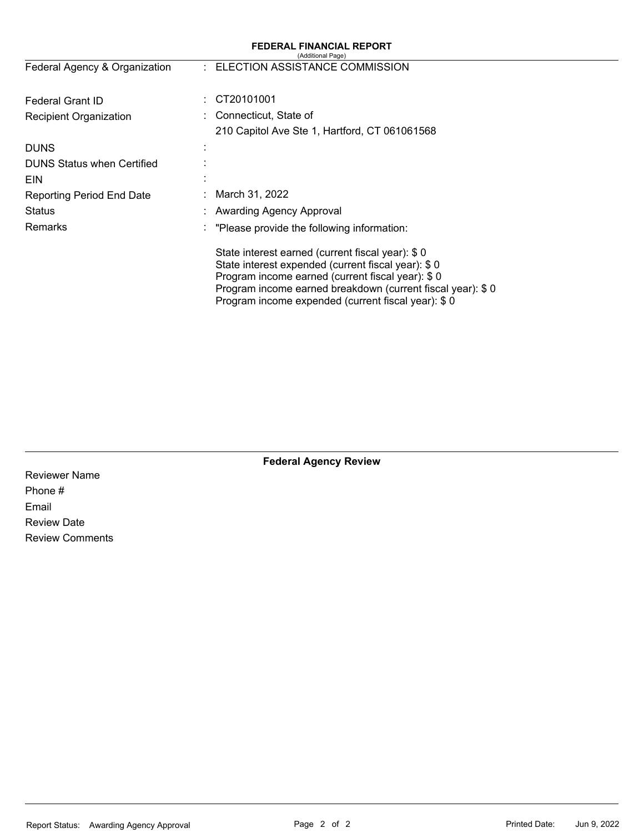|                                   | (Additional Page)                                                                                                                                                                                                                                                              |  |  |  |
|-----------------------------------|--------------------------------------------------------------------------------------------------------------------------------------------------------------------------------------------------------------------------------------------------------------------------------|--|--|--|
| Federal Agency & Organization     | : ELECTION ASSISTANCE COMMISSION                                                                                                                                                                                                                                               |  |  |  |
| <b>Federal Grant ID</b>           | CT20101001                                                                                                                                                                                                                                                                     |  |  |  |
| <b>Recipient Organization</b>     | Connecticut, State of                                                                                                                                                                                                                                                          |  |  |  |
|                                   | 210 Capitol Ave Ste 1, Hartford, CT 061061568                                                                                                                                                                                                                                  |  |  |  |
| <b>DUNS</b>                       |                                                                                                                                                                                                                                                                                |  |  |  |
| <b>DUNS Status when Certified</b> |                                                                                                                                                                                                                                                                                |  |  |  |
| <b>EIN</b>                        |                                                                                                                                                                                                                                                                                |  |  |  |
| Reporting Period End Date         | March 31, 2022                                                                                                                                                                                                                                                                 |  |  |  |
| Status                            | Awarding Agency Approval                                                                                                                                                                                                                                                       |  |  |  |
| Remarks                           | "Please provide the following information:                                                                                                                                                                                                                                     |  |  |  |
|                                   | State interest earned (current fiscal year): \$0<br>State interest expended (current fiscal year): \$0<br>Program income earned (current fiscal year): \$0<br>Program income earned breakdown (current fiscal year): \$0<br>Program income expended (current fiscal year): \$0 |  |  |  |

**Federal Agency Review** 

**FEDERAL FINANCIAL REPORT** 

Reviewer Name Phone # Email Review Date Review Comments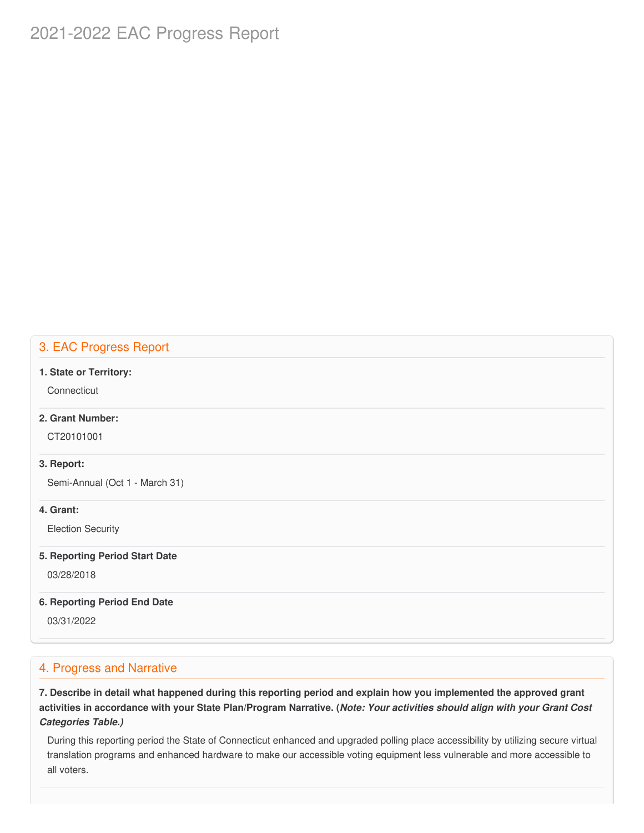# 2021-2022 EAC Progress Report

# 3. EAC Progress Report

#### **1. State or Territory:**

**Connecticut** 

# **2. Grant Number:**

CT20101001

# **3. Report:**

Semi-Annual (Oct 1 - March 31)

# **4. Grant:**

Election Security

#### **5. Reporting Period Start Date**

03/28/2018

#### **6. Reporting Period End Date**

03/31/2022

# 4. Progress and Narrative

7. Describe in detail what happened during this reporting period and explain how you implemented the approved grant activities in accordance with your State Plan/Program Narrative. (*Note: Your activities should align with your Grant Cost Categories Table.)*

 During this reporting period the State of Connecticut enhanced and upgraded polling place accessibility by utilizing secure virtual translation programs and enhanced hardware to make our accessible voting equipment less vulnerable and more accessible to all voters.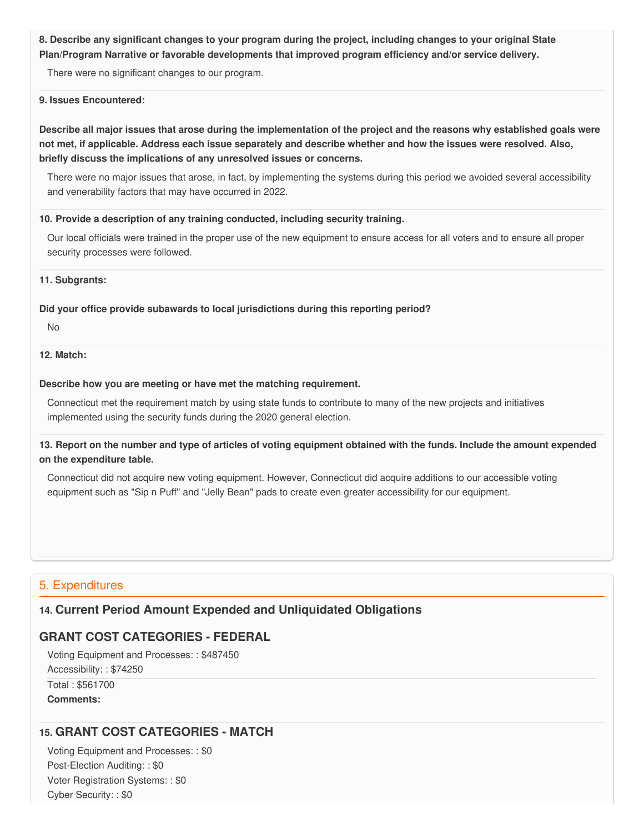8. Describe any significant changes to your program during the project, including changes to your original State  **Plan/Program Narrative or favorable developments that improved program efficiency and/or service delivery.**

There were no significant changes to our program.

### **9. Issues Encountered:**

Describe all major issues that arose during the implementation of the project and the reasons why established goals were not met, if applicable. Address each issue separately and describe whether and how the issues were resolved. Also,  **briefly discuss the implications of any unresolved issues or concerns.**

 There were no major issues that arose, in fact, by implementing the systems during this period we avoided several accessibility and venerability factors that may have occurred in 2022.

### **10. Provide a description of any training conducted, including security training.**

 Our local officials were trained in the proper use of the new equipment to ensure access for all voters and to ensure all proper security processes were followed.

#### **11. Subgrants:**

# **Did your office provide subawards to local jurisdictions during this reporting period?**

No

# **12. Match:**

### **Describe how you are meeting or have met the matching requirement.**

 Connecticut met the requirement match by using state funds to contribute to many of the new projects and initiatives implemented using the security funds during the 2020 general election.

13. Report on the number and type of articles of voting equipment obtained with the funds. Include the amount expended  **on the expenditure table.**

 Connecticut did not acquire new voting equipment. However, Connecticut did acquire additions to our accessible voting equipment such as "Sip n Puff" and "Jelly Bean" pads to create even greater accessibility for our equipment.

# 5. Expenditures

# **14. Current Period Amount Expended and Unliquidated Obligations**

# **GRANT COST CATEGORIES - FEDERAL**

 Voting Equipment and Processes: : \$487450 Accessibility: : \$74250 Total : \$561700

**Comments:**

# **15. GRANT COST CATEGORIES - MATCH**

 Voting Equipment and Processes: : \$0 Post-Election Auditing: : \$0 Voter Registration Systems: : \$0 Cyber Security: : \$0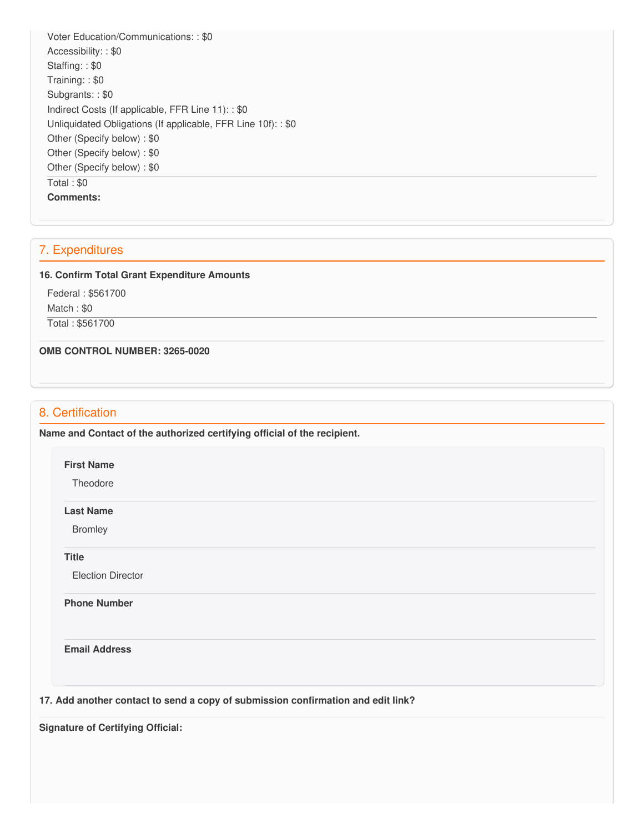Voter Education/Communications: : \$0 Accessibility: : \$0 Staffing: : \$0 Training: : \$0 Subgrants: : \$0 Indirect Costs (If applicable, FFR Line 11): : \$0 Unliquidated Obligations (If applicable, FFR Line 10f): : \$0 Other (Specify below) : \$0 Other (Specify below) : \$0 Other (Specify below) : \$0 Total : \$0 **Comments:**

# 7. Expenditures

### **16. Confirm Total Grant Expenditure Amounts**

 Federal : \$561700 Match : \$0 Total : \$561700

 **OMB CONTROL NUMBER: 3265-0020**

# 8. Certification

 **Name and Contact of the authorized certifying official of the recipient.**

### **First Name**

**Theodore** 

#### **Last Name**

Bromley

**Title**

Election Director

**Phone Number** 

**Email Address**

 **17. Add another contact to send a copy of submission confirmation and edit link?**

 **Signature of Certifying Official:**